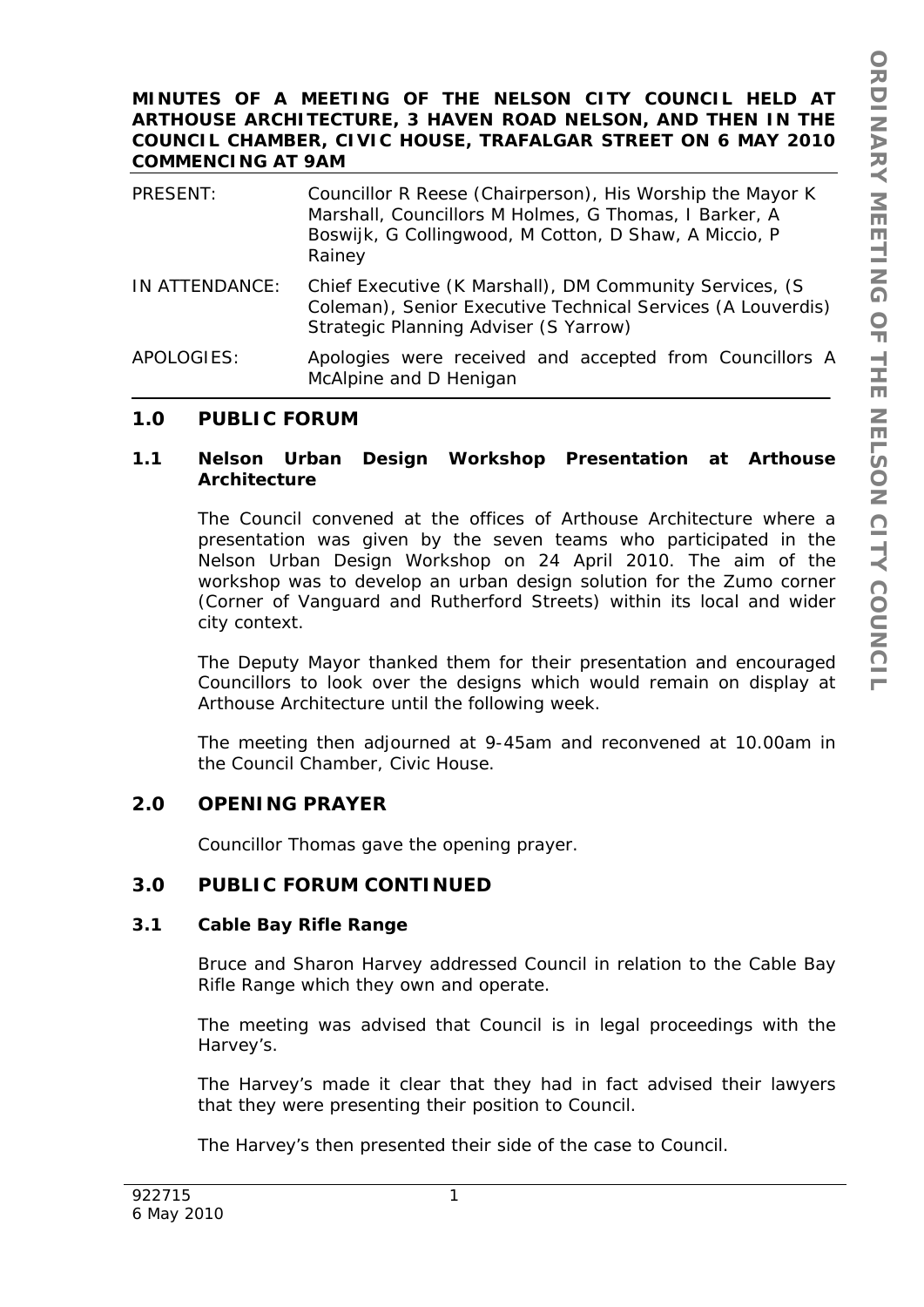#### **MINUTES OF A MEETING OF THE NELSON CITY COUNCIL HELD AT ARTHOUSE ARCHITECTURE, 3 HAVEN ROAD NELSON, AND THEN IN THE COUNCIL CHAMBER, CIVIC HOUSE, TRAFALGAR STREET ON 6 MAY 2010 COMMENCING AT 9AM**

| PRESENT:       | Councillor R Reese (Chairperson), His Worship the Mayor K<br>Marshall, Councillors M Holmes, G Thomas, I Barker, A<br>Boswijk, G Collingwood, M Cotton, D Shaw, A Miccio, P<br>Rainey |
|----------------|---------------------------------------------------------------------------------------------------------------------------------------------------------------------------------------|
| IN ATTENDANCE: | Chief Executive (K Marshall), DM Community Services, (S<br>Coleman), Senior Executive Technical Services (A Louverdis)<br>Strategic Planning Adviser (S Yarrow)                       |
| APOLOGIES:     | Apologies were received and accepted from Councillors A<br>McAlpine and D Henigan                                                                                                     |

## **1.0 PUBLIC FORUM**

#### **1.1 Nelson Urban Design Workshop Presentation at Arthouse Architecture**

The Council convened at the offices of Arthouse Architecture where a presentation was given by the seven teams who participated in the Nelson Urban Design Workshop on 24 April 2010. The aim of the workshop was to develop an urban design solution for the Zumo corner (Corner of Vanguard and Rutherford Streets) within its local and wider city context.

The Deputy Mayor thanked them for their presentation and encouraged Councillors to look over the designs which would remain on display at Arthouse Architecture until the following week.

The meeting then adjourned at 9-45am and reconvened at 10.00am in the Council Chamber, Civic House.

## **2.0 OPENING PRAYER**

Councillor Thomas gave the opening prayer.

# **3.0 PUBLIC FORUM CONTINUED**

#### **3.1 Cable Bay Rifle Range**

Bruce and Sharon Harvey addressed Council in relation to the Cable Bay Rifle Range which they own and operate.

The meeting was advised that Council is in legal proceedings with the Harvey's.

The Harvey's made it clear that they had in fact advised their lawyers that they were presenting their position to Council.

The Harvey's then presented their side of the case to Council.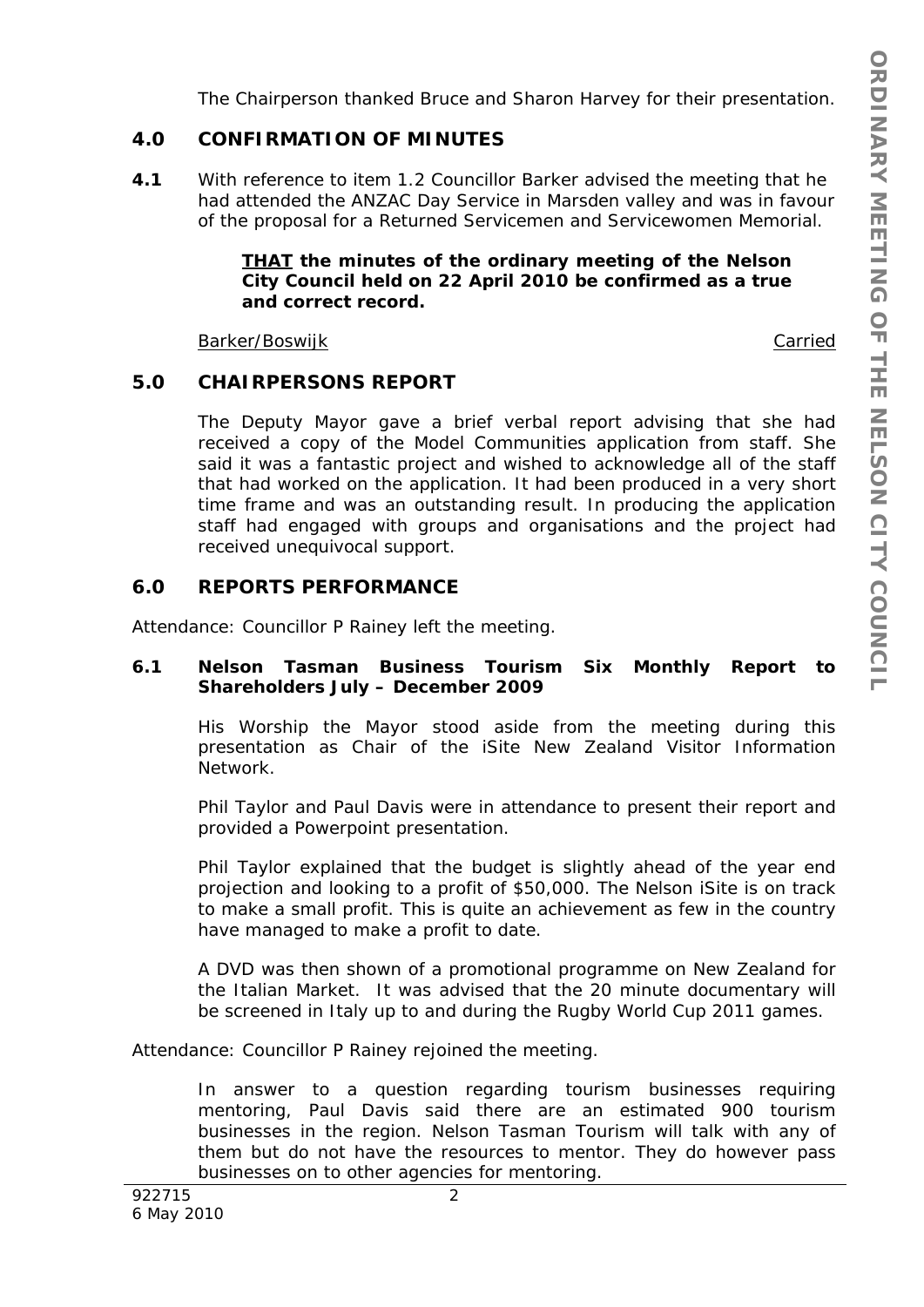The Chairperson thanked Bruce and Sharon Harvey for their presentation.

# **4.0 CONFIRMATION OF MINUTES**

**4.1** With reference to item 1.2 Councillor Barker advised the meeting that he had attended the ANZAC Day Service in Marsden valley and was in favour of the proposal for a Returned Servicemen and Servicewomen Memorial.

### *THAT the minutes of the ordinary meeting of the Nelson City Council held on 22 April 2010 be confirmed as a true and correct record.*

Barker/Boswijk Carried Carried Carried Carried Carried Carried Carried Carried Carried Carried Carried Carried

## **5.0 CHAIRPERSONS REPORT**

The Deputy Mayor gave a brief verbal report advising that she had received a copy of the Model Communities application from staff. She said it was a fantastic project and wished to acknowledge all of the staff that had worked on the application. It had been produced in a very short time frame and was an outstanding result. In producing the application staff had engaged with groups and organisations and the project had received unequivocal support.

# **6.0 REPORTS PERFORMANCE**

Attendance: Councillor P Rainey left the meeting.

### **6.1 Nelson Tasman Business Tourism Six Monthly Report to Shareholders July – December 2009**

His Worship the Mayor stood aside from the meeting during this presentation as Chair of the iSite New Zealand Visitor Information Network.

Phil Taylor and Paul Davis were in attendance to present their report and provided a Powerpoint presentation.

Phil Taylor explained that the budget is slightly ahead of the year end projection and looking to a profit of \$50,000. The Nelson iSite is on track to make a small profit. This is quite an achievement as few in the country have managed to make a profit to date.

A DVD was then shown of a promotional programme on New Zealand for the Italian Market. It was advised that the 20 minute documentary will be screened in Italy up to and during the Rugby World Cup 2011 games.

Attendance: Councillor P Rainey rejoined the meeting.

In answer to a question regarding tourism businesses requiring mentoring, Paul Davis said there are an estimated 900 tourism businesses in the region. Nelson Tasman Tourism will talk with any of them but do not have the resources to mentor. They do however pass businesses on to other agencies for mentoring.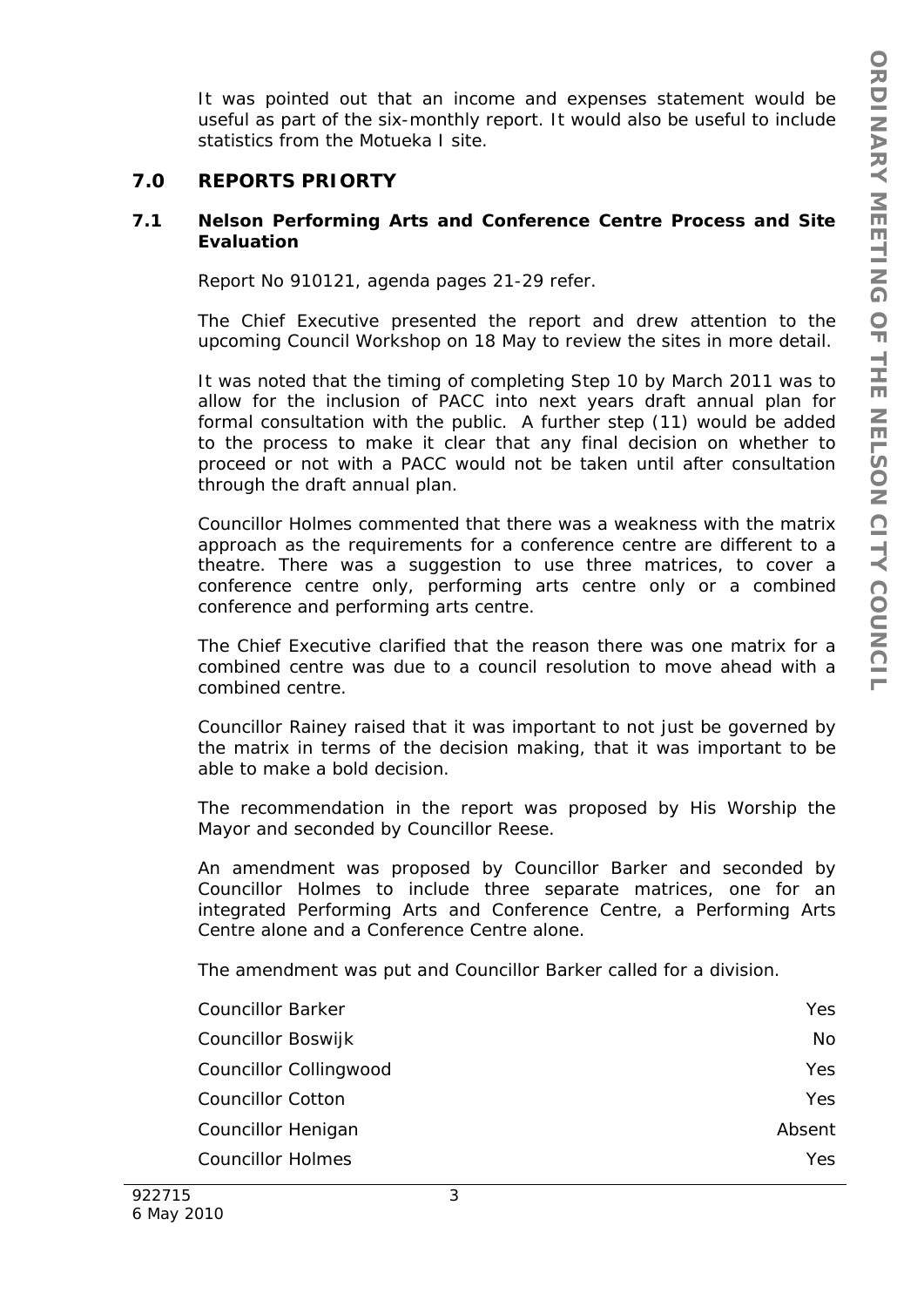It was pointed out that an income and expenses statement would be useful as part of the six-monthly report. It would also be useful to include statistics from the Motueka I site.

# **7.0 REPORTS PRIORTY**

### **7.1 Nelson Performing Arts and Conference Centre Process and Site Evaluation**

Report No 910121, agenda pages 21-29 refer.

The Chief Executive presented the report and drew attention to the upcoming Council Workshop on 18 May to review the sites in more detail.

It was noted that the timing of completing Step 10 by March 2011 was to allow for the inclusion of PACC into next years draft annual plan for formal consultation with the public. A further step (11) would be added to the process to make it clear that any final decision on whether to proceed or not with a PACC would not be taken until after consultation through the draft annual plan.

Councillor Holmes commented that there was a weakness with the matrix approach as the requirements for a conference centre are different to a theatre. There was a suggestion to use three matrices, to cover a conference centre only, performing arts centre only or a combined conference and performing arts centre.

The Chief Executive clarified that the reason there was one matrix for a combined centre was due to a council resolution to move ahead with a combined centre.

Councillor Rainey raised that it was important to not just be governed by the matrix in terms of the decision making, that it was important to be able to make a bold decision.

The recommendation in the report was proposed by His Worship the Mayor and seconded by Councillor Reese.

An amendment was proposed by Councillor Barker and seconded by Councillor Holmes to include three separate matrices, one for an integrated Performing Arts and Conference Centre, a Performing Arts Centre alone and a Conference Centre alone.

The amendment was put and Councillor Barker called for a division.

| <b>Councillor Barker</b> | Yes.   |
|--------------------------|--------|
| Councillor Boswijk       | No     |
| Councillor Collingwood   | Yes.   |
| <b>Councillor Cotton</b> | Yes    |
| Councillor Henigan       | Absent |
| <b>Councillor Holmes</b> | Yes.   |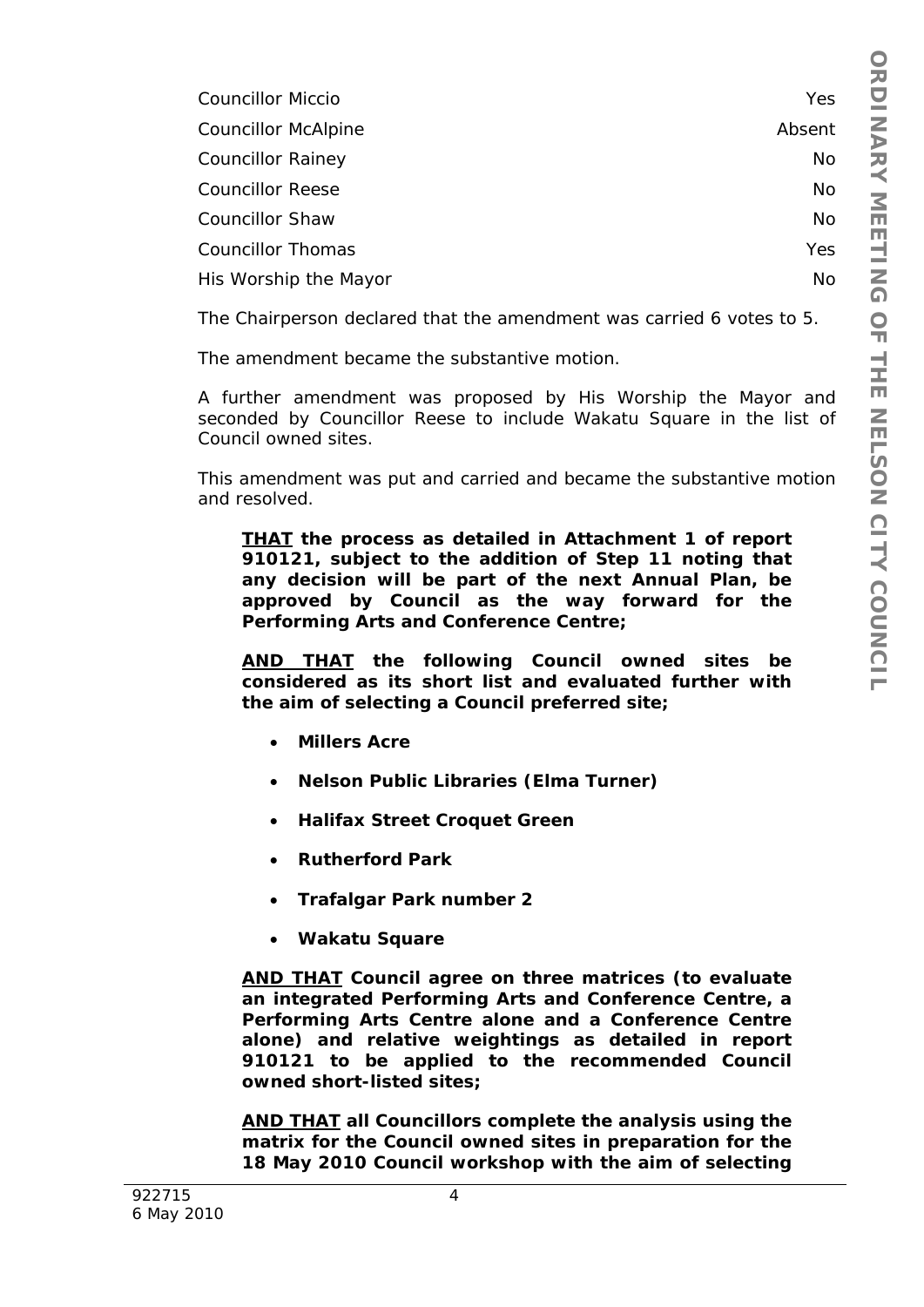| <b>Councillor Miccio</b>   | Yes    |
|----------------------------|--------|
| <b>Councillor McAlpine</b> | Absent |
| <b>Councillor Rainey</b>   | No     |
| <b>Councillor Reese</b>    | No     |
| <b>Councillor Shaw</b>     | No     |
| <b>Councillor Thomas</b>   | Yes    |
| His Worship the Mayor      | No     |

The Chairperson declared that the amendment was carried 6 votes to 5.

The amendment became the substantive motion.

A further amendment was proposed by His Worship the Mayor and seconded by Councillor Reese to include Wakatu Square in the list of Council owned sites.

 This amendment was put and carried and became the substantive motion and resolved.

*THAT the process as detailed in Attachment 1 of report 910121, subject to the addition of Step 11 noting that any decision will be part of the next Annual Plan, be approved by Council as the way forward for the Performing Arts and Conference Centre;* 

*AND THAT the following Council owned sites be considered as its short list and evaluated further with the aim of selecting a Council preferred site;* 

- *Millers Acre*
- *Nelson Public Libraries (Elma Turner)*
- *Halifax Street Croquet Green*
- *Rutherford Park*
- *Trafalgar Park number 2*
- *Wakatu Square*

*AND THAT Council agree on three matrices (to evaluate an integrated Performing Arts and Conference Centre, a Performing Arts Centre alone and a Conference Centre alone) and relative weightings as detailed in report 910121 to be applied to the recommended Council owned short-listed sites;* 

*AND THAT all Councillors complete the analysis using the matrix for the Council owned sites in preparation for the 18 May 2010 Council workshop with the aim of selecting*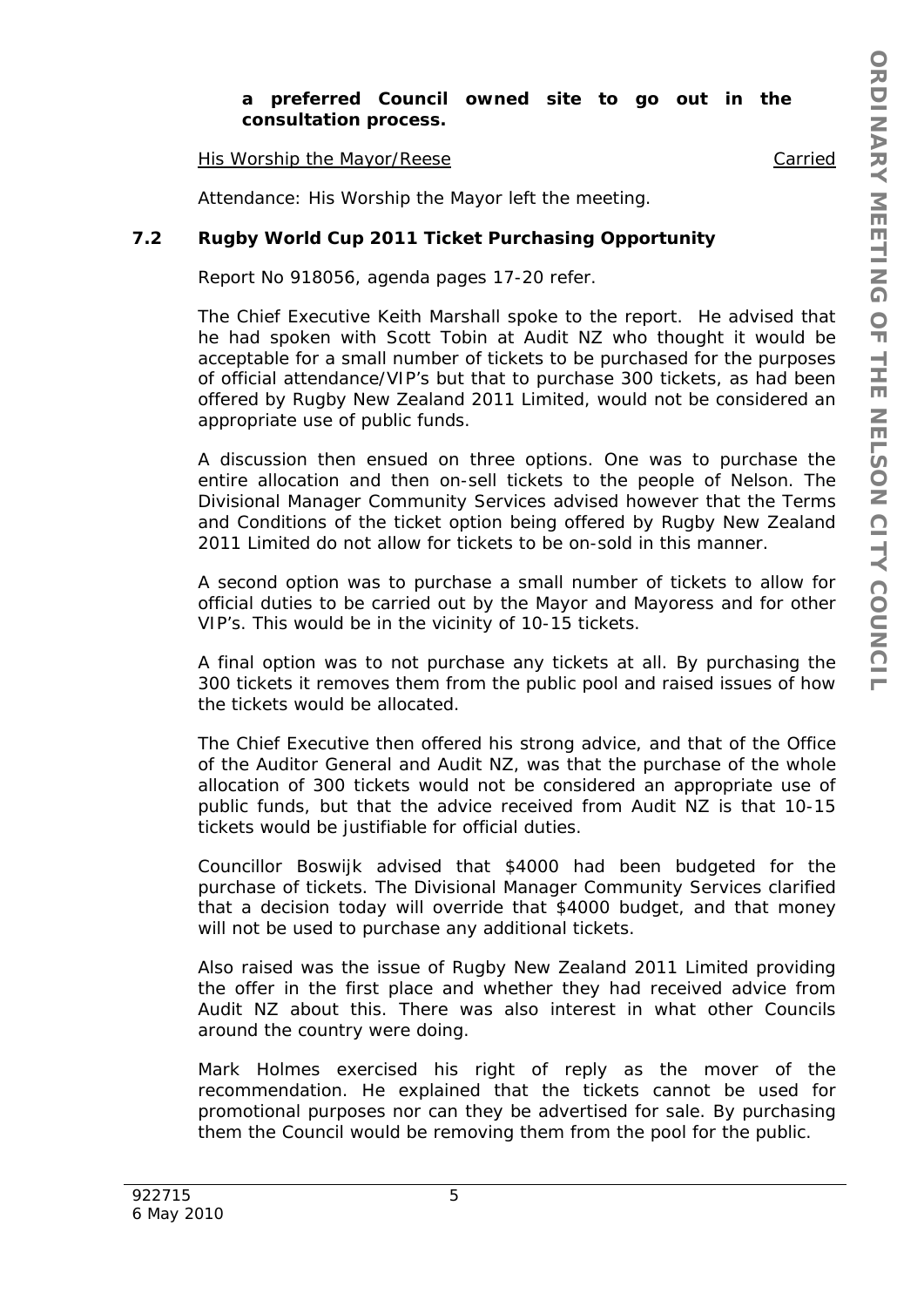### *a preferred Council owned site to go out in the consultation process.*

His Worship the Mayor/Reese **Carried Carried** 

Attendance: His Worship the Mayor left the meeting.

### **7.2 Rugby World Cup 2011 Ticket Purchasing Opportunity**

Report No 918056, agenda pages 17-20 refer.

The Chief Executive Keith Marshall spoke to the report. He advised that he had spoken with Scott Tobin at Audit NZ who thought it would be acceptable for a small number of tickets to be purchased for the purposes of official attendance/VIP's but that to purchase 300 tickets, as had been offered by Rugby New Zealand 2011 Limited, would not be considered an appropriate use of public funds.

A discussion then ensued on three options. One was to purchase the entire allocation and then on-sell tickets to the people of Nelson. The Divisional Manager Community Services advised however that the Terms and Conditions of the ticket option being offered by Rugby New Zealand 2011 Limited do not allow for tickets to be on-sold in this manner.

A second option was to purchase a small number of tickets to allow for official duties to be carried out by the Mayor and Mayoress and for other VIP's. This would be in the vicinity of 10-15 tickets.

A final option was to not purchase any tickets at all. By purchasing the 300 tickets it removes them from the public pool and raised issues of how the tickets would be allocated.

The Chief Executive then offered his strong advice, and that of the Office of the Auditor General and Audit NZ, was that the purchase of the whole allocation of 300 tickets would not be considered an appropriate use of public funds, but that the advice received from Audit NZ is that 10-15 tickets would be justifiable for official duties.

Councillor Boswijk advised that \$4000 had been budgeted for the purchase of tickets. The Divisional Manager Community Services clarified that a decision today will override that \$4000 budget, and that money will not be used to purchase any additional tickets.

Also raised was the issue of Rugby New Zealand 2011 Limited providing the offer in the first place and whether they had received advice from Audit NZ about this. There was also interest in what other Councils around the country were doing.

Mark Holmes exercised his right of reply as the mover of the recommendation. He explained that the tickets cannot be used for promotional purposes nor can they be advertised for sale. By purchasing them the Council would be removing them from the pool for the public.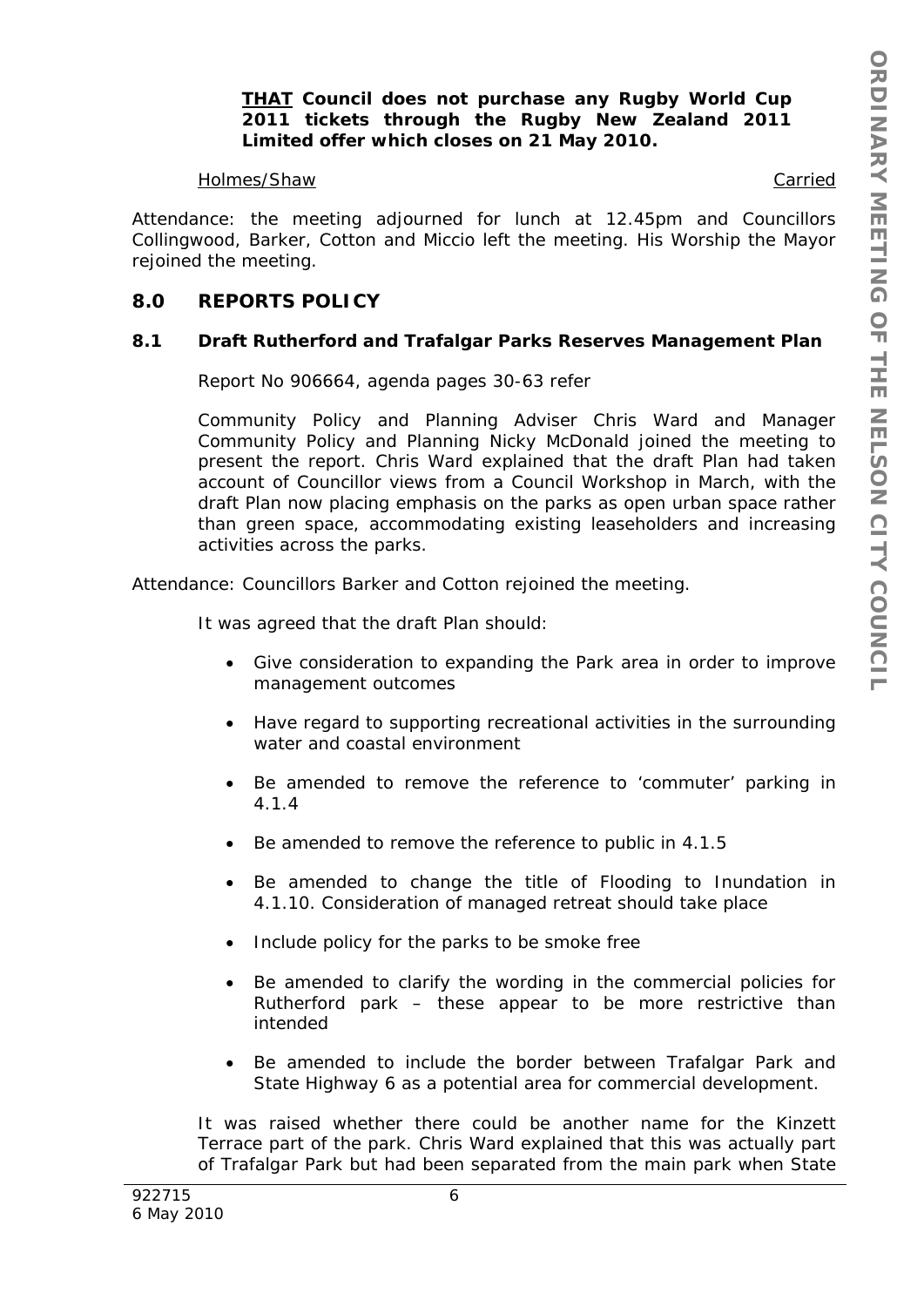*THAT Council does not purchase any Rugby World Cup 2011 tickets through the Rugby New Zealand 2011 Limited offer which closes on 21 May 2010.* 

#### Holmes/Shaw Carried

Attendance: the meeting adjourned for lunch at 12.45pm and Councillors Collingwood, Barker, Cotton and Miccio left the meeting. His Worship the Mayor rejoined the meeting.

# **8.0 REPORTS POLICY**

### **8.1 Draft Rutherford and Trafalgar Parks Reserves Management Plan**

Report No 906664, agenda pages 30-63 refer

Community Policy and Planning Adviser Chris Ward and Manager Community Policy and Planning Nicky McDonald joined the meeting to present the report. Chris Ward explained that the draft Plan had taken account of Councillor views from a Council Workshop in March, with the draft Plan now placing emphasis on the parks as open urban space rather than green space, accommodating existing leaseholders and increasing activities across the parks.

Attendance: Councillors Barker and Cotton rejoined the meeting.

It was agreed that the draft Plan should:

- Give consideration to expanding the Park area in order to improve management outcomes
- Have regard to supporting recreational activities in the surrounding water and coastal environment
- Be amended to remove the reference to 'commuter' parking in 4.1.4
- Be amended to remove the reference to public in 4.1.5
- Be amended to change the title of Flooding to Inundation in 4.1.10. Consideration of managed retreat should take place
- Include policy for the parks to be smoke free
- Be amended to clarify the wording in the commercial policies for Rutherford park – these appear to be more restrictive than intended
- Be amended to include the border between Trafalgar Park and State Highway 6 as a potential area for commercial development.

It was raised whether there could be another name for the Kinzett Terrace part of the park. Chris Ward explained that this was actually part of Trafalgar Park but had been separated from the main park when State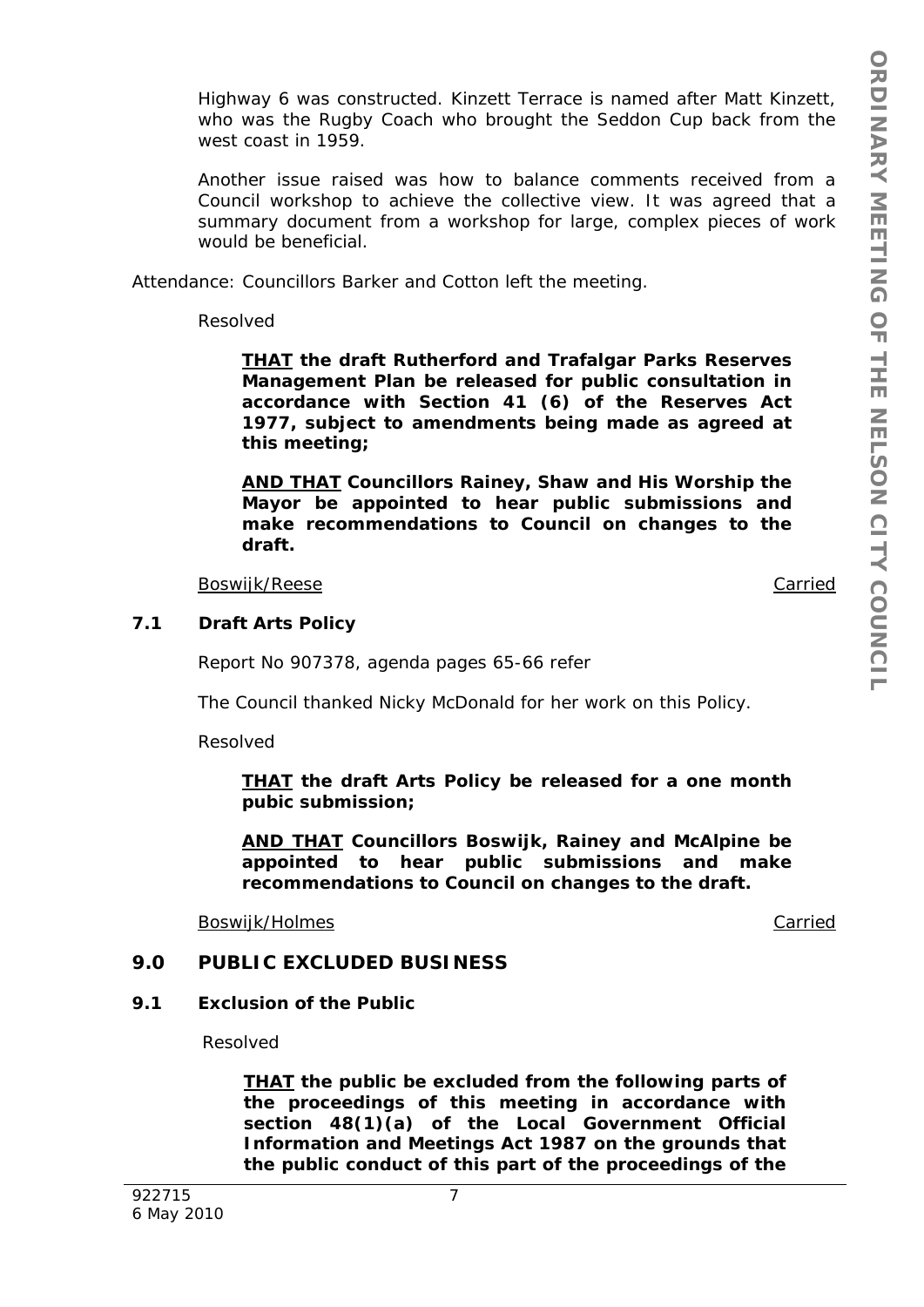Highway 6 was constructed. Kinzett Terrace is named after Matt Kinzett, who was the Rugby Coach who brought the Seddon Cup back from the west coast in 1959.

Another issue raised was how to balance comments received from a Council workshop to achieve the collective view. It was agreed that a summary document from a workshop for large, complex pieces of work would be beneficial.

Attendance: Councillors Barker and Cotton left the meeting.

Resolved

*THAT the draft Rutherford and Trafalgar Parks Reserves Management Plan be released for public consultation in accordance with Section 41 (6) of the Reserves Act 1977, subject to amendments being made as agreed at this meeting;* 

*AND THAT Councillors Rainey, Shaw and His Worship the Mayor be appointed to hear public submissions and make recommendations to Council on changes to the draft.* 

Boswijk/Reese Carried

#### **7.1 Draft Arts Policy**

Report No 907378, agenda pages 65-66 refer

The Council thanked Nicky McDonald for her work on this Policy.

Resolved

*THAT the draft Arts Policy be released for a one month pubic submission;* 

*AND THAT Councillors Boswijk, Rainey and McAlpine be appointed to hear public submissions and make recommendations to Council on changes to the draft.* 

Boswijk/Holmes **Carried Carried Carried Carried Carried Carried Carried Carried** 

#### **9.0 PUBLIC EXCLUDED BUSINESS**

#### **9.1 Exclusion of the Public**

Resolved

*THAT the public be excluded from the following parts of the proceedings of this meeting in accordance with section 48(1)(a) of the Local Government Official Information and Meetings Act 1987 on the grounds that the public conduct of this part of the proceedings of the*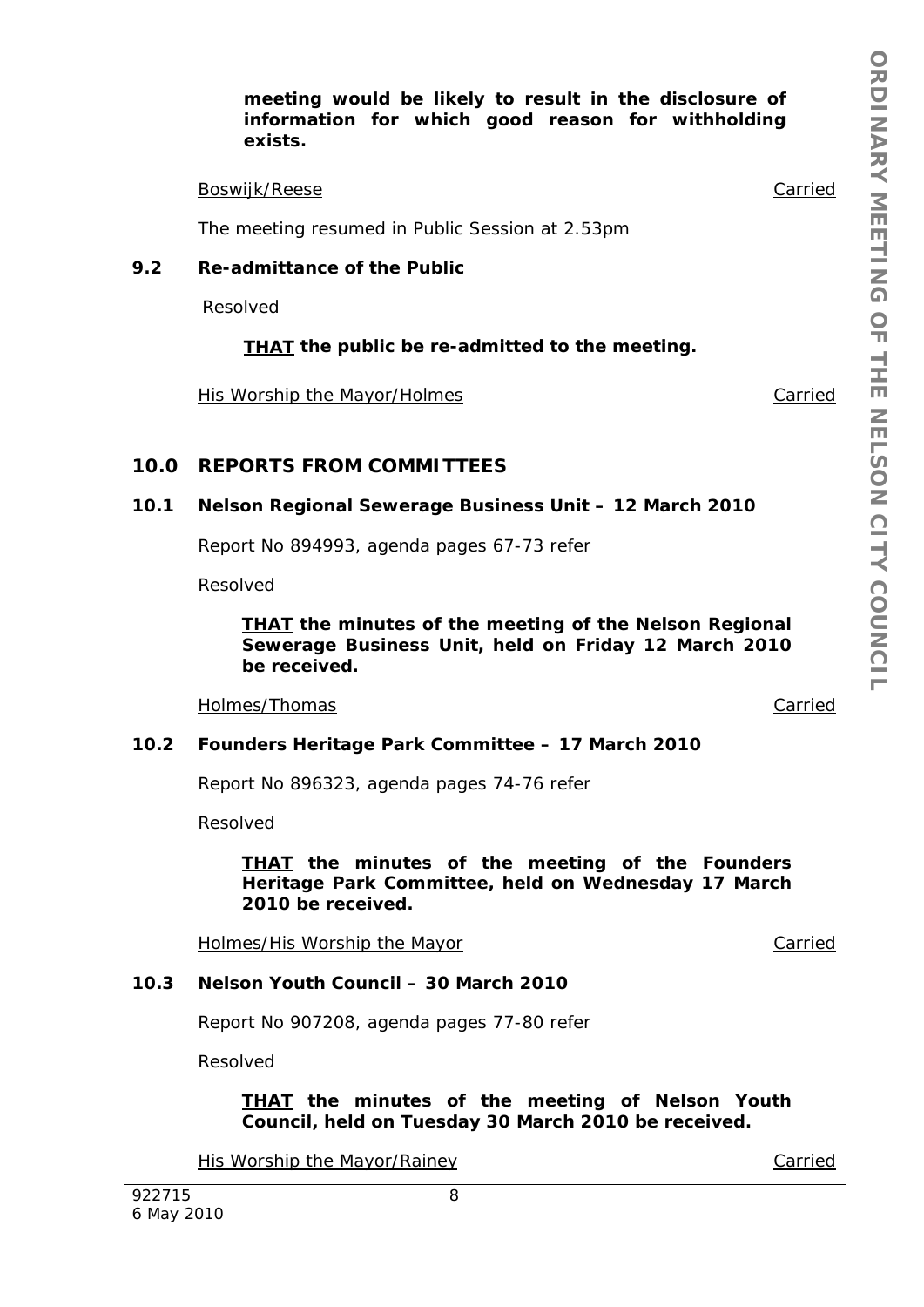#### *meeting would be likely to result in the disclosure of information for which good reason for withholding exists.*

#### Boswijk/Reese Carried

The meeting resumed in Public Session at 2.53pm

### **9.2 Re-admittance of the Public**

Resolved

# *THAT the public be re-admitted to the meeting.*

His Worship the Mayor/Holmes Carried Carried

# **10.0 REPORTS FROM COMMITTEES**

## **10.1 Nelson Regional Sewerage Business Unit – 12 March 2010**

Report No 894993, agenda pages 67-73 refer

Resolved

*THAT the minutes of the meeting of the Nelson Regional Sewerage Business Unit, held on Friday 12 March 2010 be received.* 

Holmes/Thomas **Carried** Carried **Carried** Carried **Carried** 

## **10.2 Founders Heritage Park Committee – 17 March 2010**

Report No 896323, agenda pages 74-76 refer

Resolved

#### *THAT the minutes of the meeting of the Founders Heritage Park Committee, held on Wednesday 17 March 2010 be received.*

Holmes/His Worship the Mayor **Carried** Carried

# **10.3 Nelson Youth Council – 30 March 2010**

Report No 907208, agenda pages 77-80 refer

Resolved

6 May 2010

*THAT the minutes of the meeting of Nelson Youth Council, held on Tuesday 30 March 2010 be received.* 

His Worship the Mayor/Rainey Carried